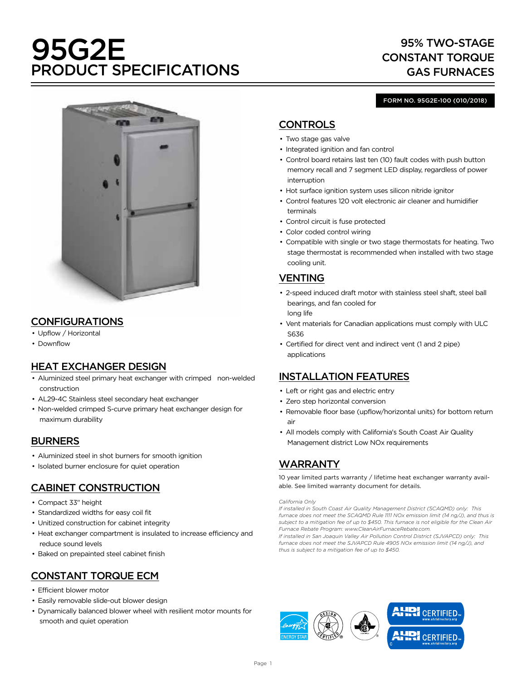# 95G2E PRODUCT SPECIFICATIONS

# 95% TWO-STAGE CONSTANT TORQUE GAS FURNACES



# CONFIGURATIONS

- Upflow / Horizontal
- Downflow

# HEAT EXCHANGER DESIGN

- Aluminized steel primary heat exchanger with crimped non-welded construction
- AL29-4C Stainless steel secondary heat exchanger
- Non-welded crimped S-curve primary heat exchanger design for maximum durability

## BURNERS

- Aluminized steel in shot burners for smooth ignition
- Isolated burner enclosure for quiet operation

# CABINET CONSTRUCTION

- Compact 33" height
- Standardized widths for easy coil fit
- Unitized construction for cabinet integrity
- Heat exchanger compartment is insulated to increase efficiency and reduce sound levels
- Baked on prepainted steel cabinet finish

# CONSTANT TORQUE ECM

- Efficient blower motor
- Easily removable slide-out blower design
- Dynamically balanced blower wheel with resilient motor mounts for smooth and quiet operation

#### FORM NO. 95G2E-100 (010/2018)

# **CONTROLS**

- Two stage gas valve
- Integrated ignition and fan control
- Control board retains last ten (10) fault codes with push button memory recall and 7 segment LED display, regardless of power interruption
- Hot surface ignition system uses silicon nitride ignitor
- Control features 120 volt electronic air cleaner and humidifier terminals
- Control circuit is fuse protected
- Color coded control wiring
- Compatible with single or two stage thermostats for heating. Two stage thermostat is recommended when installed with two stage cooling unit.

# VENTING

- 2-speed induced draft motor with stainless steel shaft, steel ball bearings, and fan cooled for long life
- Vent materials for Canadian applications must comply with ULC S636
- Certified for direct vent and indirect vent (1 and 2 pipe) applications

## INSTALLATION FEATURES

- Left or right gas and electric entry
- Zero step horizontal conversion
- Removable floor base (upflow/horizontal units) for bottom return air
- All models comply with California's South Coast Air Quality Management district Low NOx requirements

# WARRANTY

10 year limited parts warranty / lifetime heat exchanger warranty available. See limited warranty document for details.

#### *California Only*

*If installed in South Coast Air Quality Management District (SCAQMD) only: This furnace does not meet the SCAQMD Rule 1111 NOx emission limit (14 ng/J), and thus is subject to a mitigation fee of up to \$450. This furnace is not eligible for the Clean Air Furnace Rebate Program: www.CleanAirFurnaceRebate.com.* 

*If installed in San Joaquin Valley Air Pollution Control District (SJVAPCD) only: This furnace does not meet the SJVAPCD Rule 4905 NOx emission limit (14 ng/J), and thus is subject to a mitigation fee of up to \$450.*

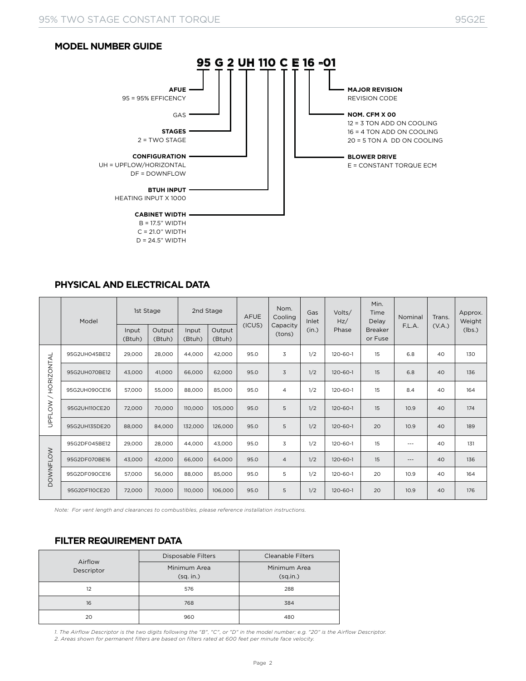#### **MODEL NUMBER GUIDE**



### **PHYSICAL AND ELECTRICAL DATA**

|                 | Model         | 1st Stage       |                  | 2nd Stage       |                  | <b>AFUE</b> | Nom.<br>Cooling    | Gas<br>Inlet | Volts/<br>Hz/  | Min.<br>Time<br>Delay     | Nominal  | Trans. | Approx.<br>Weight |
|-----------------|---------------|-----------------|------------------|-----------------|------------------|-------------|--------------------|--------------|----------------|---------------------------|----------|--------|-------------------|
|                 |               | Input<br>(Btuh) | Output<br>(Btuh) | Input<br>(Btuh) | Output<br>(Btuh) | (ICUS)      | Capacity<br>(tons) | (in.)        | Phase          | <b>Breaker</b><br>or Fuse | F.L.A.   | (V.A.) | (lbs.)            |
|                 | 95G2UH045BE12 | 29,000          | 28,000           | 44,000          | 42,000           | 95.0        | 3                  | 1/2          | 120-60-1       | 15                        | 6.8      | 40     | 130               |
| HORIZONTAL      | 95G2UH070BE12 | 43,000          | 41,000           | 66,000          | 62,000           | 95.0        | 3                  | 1/2          | $120 - 60 - 1$ | 15                        | 6.8      | 40     | 136               |
| $\diagup$       | 95G2UH090CE16 | 57,000          | 55,000           | 88,000          | 85,000           | 95.0        | $\overline{4}$     | 1/2          | 120-60-1       | 15                        | 8.4      | 40     | 164               |
| <b>UPFLOW</b>   | 95G2UH110CE20 | 72,000          | 70,000           | 110,000         | 105,000          | 95.0        | 5                  | 1/2          | $120 - 60 - 1$ | 15                        | 10.9     | 40     | 174               |
|                 | 95G2UH135DE20 | 88,000          | 84,000           | 132,000         | 126,000          | 95.0        | 5                  | 1/2          | 120-60-1       | 20                        | 10.9     | 40     | 189               |
|                 | 95G2DF045BE12 | 29,000          | 28,000           | 44,000          | 43,000           | 95.0        | 3                  | 1/2          | 120-60-1       | 15                        | $\cdots$ | 40     | 131               |
| <b>DOWNFLOW</b> | 95G2DF070BE16 | 43,000          | 42,000           | 66,000          | 64,000           | 95.0        | $\overline{4}$     | 1/2          | $120 - 60 - 1$ | 15                        | $\cdots$ | 40     | 136               |
|                 | 95G2DF090CE16 | 57,000          | 56,000           | 88,000          | 85,000           | 95.0        | 5                  | 1/2          | 120-60-1       | 20                        | 10.9     | 40     | 164               |
|                 | 95G2DF110CE20 | 72,000          | 70,000           | 110,000         | 106,000          | 95.0        | 5                  | 1/2          | $120 - 60 - 1$ | 20                        | 10.9     | 40     | 176               |

*Note: For vent length and clearances to combustibles, please reference installation instructions.*

### **FILTER REQUIREMENT DATA**

| Airflow    | Disposable Filters        | <b>Cleanable Filters</b> |  |  |  |
|------------|---------------------------|--------------------------|--|--|--|
| Descriptor | Minimum Area<br>(sq. in.) | Minimum Area<br>(sq.in.) |  |  |  |
| 12         | 576                       | 288                      |  |  |  |
| 16         | 768                       | 384                      |  |  |  |
| 20         | 960                       | 480                      |  |  |  |

1. The Airflow Descriptor is the two digits following the "B", "C", or "D" in the model number; e.g. "20" is the Airflow Descriptor.<br>2. Areas shown for permanent filters are based on filters rated at 600 feet per minute fa

Page 2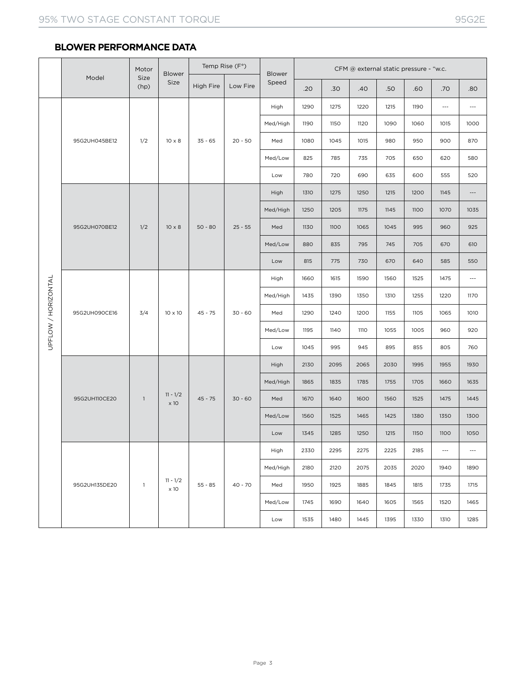### **BLOWER PERFORMANCE DATA**

|                     |               | Motor          | <b>Blower</b>                     | Temp Rise (F°) |           | Blower   | CFM @ external static pressure - "w.c. |      |      |      |      |                          |                      |
|---------------------|---------------|----------------|-----------------------------------|----------------|-----------|----------|----------------------------------------|------|------|------|------|--------------------------|----------------------|
|                     | Model         | Size<br>(hp)   | Size<br>High Fire                 | Low Fire       | Speed     | .20      | .30                                    | .40  | .50  | .60  | .70  | .80                      |                      |
|                     |               |                |                                   | $35 - 65$      |           | High     | 1290                                   | 1275 | 1220 | 1215 | 1190 | $\hspace{0.05cm} \ldots$ | $\scriptstyle\cdots$ |
|                     | 95G2UH045BE12 |                |                                   |                |           | Med/High | 1190                                   | 1150 | 1120 | 1090 | 1060 | 1015                     | 1000                 |
|                     |               | 1/2            | $10 \times 8$                     |                | $20 - 50$ | Med      | 1080                                   | 1045 | 1015 | 980  | 950  | 900                      | 870                  |
|                     |               |                |                                   |                |           | Med/Low  | 825                                    | 785  | 735  | 705  | 650  | 620                      | 580                  |
|                     |               |                |                                   |                |           | Low      | 780                                    | 720  | 690  | 635  | 600  | 555                      | 520                  |
|                     |               |                |                                   |                |           | High     | 1310                                   | 1275 | 1250 | 1215 | 1200 | 1145                     | $\cdots$             |
|                     |               |                | $10 \times 8$                     | $50 - 80$      | $25 - 55$ | Med/High | 1250                                   | 1205 | 1175 | 1145 | 1100 | 1070                     | 1035                 |
|                     | 95G2UH070BE12 | 1/2            |                                   |                |           | Med      | 1130                                   | 1100 | 1065 | 1045 | 995  | 960                      | 925                  |
|                     |               |                |                                   |                |           | Med/Low  | 880                                    | 835  | 795  | 745  | 705  | 670                      | 610                  |
|                     |               |                |                                   |                |           | Low      | 815                                    | 775  | 730  | 670  | 640  | 585                      | 550                  |
| UPFLOW / HORIZONTAL | 95G2UH090CE16 |                | 10 x 10                           | $45 - 75$      | $30 - 60$ | High     | 1660                                   | 1615 | 1590 | 1560 | 1525 | 1475                     | $\overline{a}$       |
|                     |               |                |                                   |                |           | Med/High | 1435                                   | 1390 | 1350 | 1310 | 1255 | 1220                     | 1170                 |
|                     |               | 3/4            |                                   |                |           | Med      | 1290                                   | 1240 | 1200 | 1155 | 1105 | 1065                     | 1010                 |
|                     |               |                |                                   |                |           | Med/Low  | 1195                                   | 1140 | 1110 | 1055 | 1005 | 960                      | 920                  |
|                     |               |                |                                   |                |           | Low      | 1045                                   | 995  | 945  | 895  | 855  | 805                      | 760                  |
|                     |               |                | $11 - \frac{1}{2}$<br>$\times$ 10 | $45 - 75$      | $30 - 60$ | High     | 2130                                   | 2095 | 2065 | 2030 | 1995 | 1955                     | 1930                 |
|                     | 95G2UH110CE20 | $\overline{1}$ |                                   |                |           | Med/High | 1865                                   | 1835 | 1785 | 1755 | 1705 | 1660                     | 1635                 |
|                     |               |                |                                   |                |           | Med      | 1670                                   | 1640 | 1600 | 1560 | 1525 | 1475                     | 1445                 |
|                     |               |                |                                   |                |           | Med/Low  | 1560                                   | 1525 | 1465 | 1425 | 1380 | 1350                     | 1300                 |
|                     |               |                |                                   |                |           | Low      | 1345                                   | 1285 | 1250 | 1215 | 1150 | 1100                     | 1050                 |
|                     |               |                | $11 - \frac{1}{2}$<br>$\times 10$ |                |           | High     | 2330                                   | 2295 | 2275 | 2225 | 2185 | $\scriptstyle{\cdots}$ . | $\cdots$             |
|                     |               | $\overline{1}$ |                                   |                |           | Med/High | 2180                                   | 2120 | 2075 | 2035 | 2020 | 1940                     | 1890                 |
|                     | 95G2UH135DE20 |                |                                   | $55 - 85$      | $40 - 70$ | Med      | 1950                                   | 1925 | 1885 | 1845 | 1815 | 1735                     | 1715                 |
|                     |               |                |                                   |                |           | Med/Low  | 1745                                   | 1690 | 1640 | 1605 | 1565 | 1520                     | 1465                 |
|                     |               |                |                                   |                |           | Low      | 1535                                   | 1480 | 1445 | 1395 | 1330 | 1310                     | 1285                 |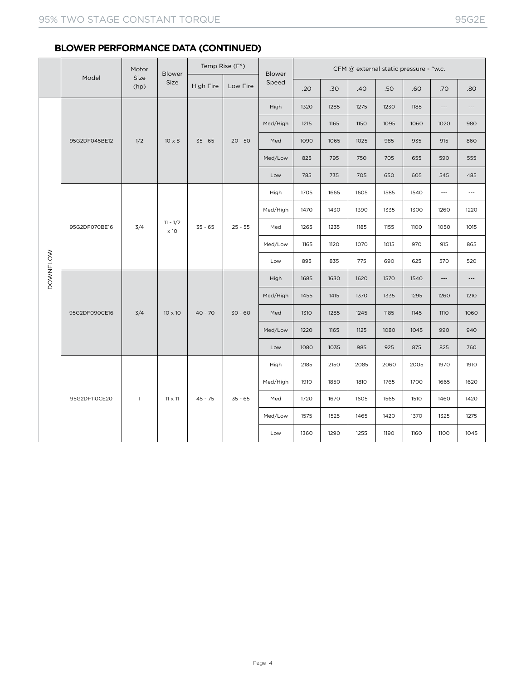|                 |               | Motor        | Temp Rise (F°)<br>CFM @ external static pressure - "w.c.<br>Blower<br>Blower |           |           |          |      |      |      |      |      |                          |                          |
|-----------------|---------------|--------------|------------------------------------------------------------------------------|-----------|-----------|----------|------|------|------|------|------|--------------------------|--------------------------|
|                 | Model         | Size<br>(hp) | Size                                                                         | High Fire | Low Fire  | Speed    | .20  | .30  | .40  | .50  | .60  | .70                      | .80                      |
|                 | 95G2DF045BE12 |              |                                                                              | $35 - 65$ | $20 - 50$ | High     | 1320 | 1285 | 1275 | 1230 | 1185 | $\overline{\phantom{a}}$ | $\cdots$                 |
|                 |               |              | $10 \times 8$                                                                |           |           | Med/High | 1215 | 1165 | 1150 | 1095 | 1060 | 1020                     | 980                      |
|                 |               | 1/2          |                                                                              |           |           | Med      | 1090 | 1065 | 1025 | 985  | 935  | 915                      | 860                      |
|                 |               |              |                                                                              |           |           | Med/Low  | 825  | 795  | 750  | 705  | 655  | 590                      | 555                      |
|                 |               |              |                                                                              |           |           | Low      | 785  | 735  | 705  | 650  | 605  | 545                      | 485                      |
|                 | 95G2DF070BE16 | 3/4          | $11 - 1/2$<br>$\times$ 10                                                    | $35 - 65$ | $25 - 55$ | High     | 1705 | 1665 | 1605 | 1585 | 1540 | $\overline{\phantom{a}}$ | $\overline{\phantom{a}}$ |
| <b>DOWNFLOW</b> |               |              |                                                                              |           |           | Med/High | 1470 | 1430 | 1390 | 1335 | 1300 | 1260                     | 1220                     |
|                 |               |              |                                                                              |           |           | Med      | 1265 | 1235 | 1185 | 1155 | 1100 | 1050                     | 1015                     |
|                 |               |              |                                                                              |           |           | Med/Low  | 1165 | 1120 | 1070 | 1015 | 970  | 915                      | 865                      |
|                 |               |              |                                                                              |           |           | Low      | 895  | 835  | 775  | 690  | 625  | 570                      | 520                      |
|                 | 95G2DF090CE16 | 3/4          | $10 \times 10$                                                               | $40 - 70$ | $30 - 60$ | High     | 1685 | 1630 | 1620 | 1570 | 1540 | $\cdots$                 | $\cdots$                 |
|                 |               |              |                                                                              |           |           | Med/High | 1455 | 1415 | 1370 | 1335 | 1295 | 1260                     | 1210                     |
|                 |               |              |                                                                              |           |           | Med      | 1310 | 1285 | 1245 | 1185 | 1145 | <b>1110</b>              | 1060                     |
|                 |               |              |                                                                              |           |           | Med/Low  | 1220 | 1165 | 1125 | 1080 | 1045 | 990                      | 940                      |
|                 |               |              |                                                                              |           |           | Low      | 1080 | 1035 | 985  | 925  | 875  | 825                      | 760                      |
|                 |               | $\mathbf{1}$ | $11 \times 11$                                                               |           |           | High     | 2185 | 2150 | 2085 | 2060 | 2005 | 1970                     | 1910                     |
|                 |               |              |                                                                              | $45 - 75$ | $35 - 65$ | Med/High | 1910 | 1850 | 1810 | 1765 | 1700 | 1665                     | 1620                     |
|                 | 95G2DF110CE20 |              |                                                                              |           |           | Med      | 1720 | 1670 | 1605 | 1565 | 1510 | 1460                     | 1420                     |
|                 |               |              |                                                                              |           |           | Med/Low  | 1575 | 1525 | 1465 | 1420 | 1370 | 1325                     | 1275                     |
|                 |               |              |                                                                              |           |           | Low      | 1360 | 1290 | 1255 | 1190 | 1160 | 1100                     | 1045                     |

### **BLOWER PERFORMANCE DATA (CONTINUED)**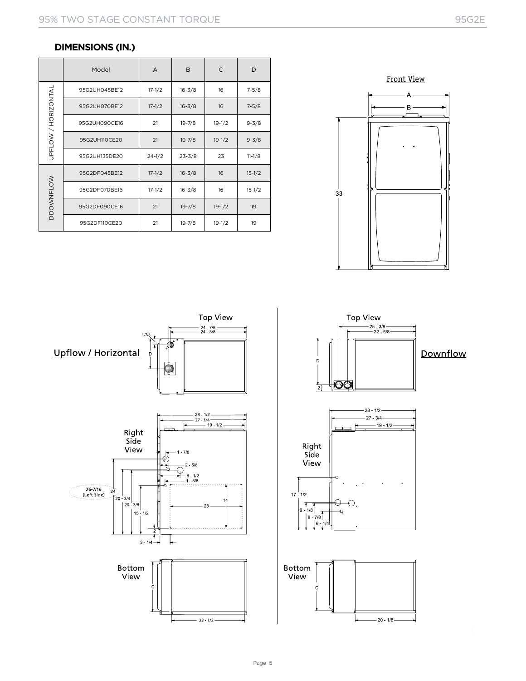### **DIMENSIONS (IN.)**

|                     | Model         | $\overline{A}$ | B          | $\mathsf{C}$ | D          |
|---------------------|---------------|----------------|------------|--------------|------------|
|                     | 95G2UH045BE12 | $17 - 1/2$     | $16 - 3/8$ |              | $7 - 5/8$  |
| UPFLOW / HORIZONTAL | 95G2UH070BE12 | $17 - 1/2$     | $16 - 3/8$ | 16           | $7 - 5/8$  |
|                     | 95G2UH090CE16 | 21             | $19 - 7/8$ | $19-1/2$     | $9 - 3/8$  |
|                     | 95G2UH110CE20 | 21             | $19 - 7/8$ | $19-1/2$     | $9 - 3/8$  |
|                     | 95G2UH135DE20 | $24 - 1/2$     | $23 - 3/8$ | 23           | $11 - 1/8$ |
|                     | 95G2DF045BE12 | $17 - 1/2$     | $16 - 3/8$ | 16           | $15-1/2$   |
|                     | 95G2DF070BE16 | $17 - 1/2$     | $16 - 3/8$ | 16           | $15 - 1/2$ |
| <b>DDOWNFLOW</b>    | 95G2DF090CE16 | 21             | $19 - 7/8$ | $19-1/2$     | 19         |
|                     | 95G2DF110CE20 | 21             | $19 - 7/8$ | $19-1/2$     | 19         |





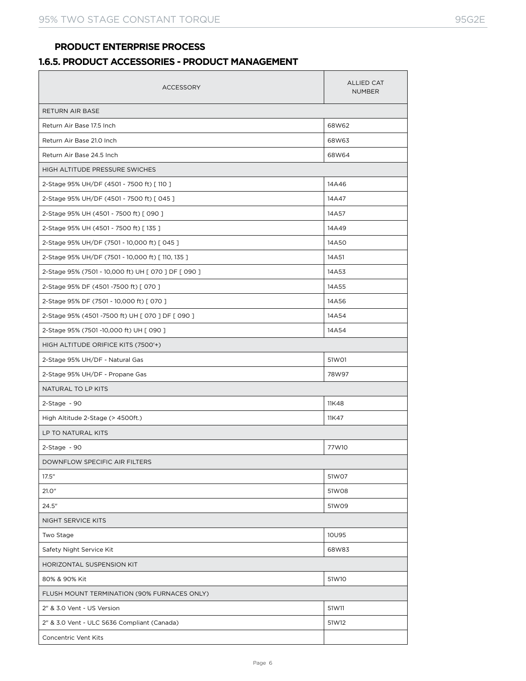### **PRODUCT ENTERPRISE PROCESS**

### **1.6.5. PRODUCT ACCESSORIES - PRODUCT MANAGEMENT**

| <b>ACCESSORY</b>                                     | <b>ALLIED CAT</b><br><b>NUMBER</b> |  |  |  |  |  |  |
|------------------------------------------------------|------------------------------------|--|--|--|--|--|--|
| RETURN AIR BASE                                      |                                    |  |  |  |  |  |  |
| Return Air Base 17.5 Inch                            | 68W62                              |  |  |  |  |  |  |
| Return Air Base 21.0 Inch                            | 68W63                              |  |  |  |  |  |  |
| Return Air Base 24.5 Inch                            | 68W64                              |  |  |  |  |  |  |
| HIGH ALTITUDE PRESSURE SWICHES                       |                                    |  |  |  |  |  |  |
| 2-Stage 95% UH/DF (4501 - 7500 ft) [110 ]            | 14A46                              |  |  |  |  |  |  |
| 2-Stage 95% UH/DF (4501 - 7500 ft) [ 045 ]           | 14A47                              |  |  |  |  |  |  |
| 2-Stage 95% UH (4501 - 7500 ft) [ 090 ]              | 14A57                              |  |  |  |  |  |  |
| 2-Stage 95% UH (4501 - 7500 ft) [135 ]               | 14A49                              |  |  |  |  |  |  |
| 2-Stage 95% UH/DF (7501 - 10,000 ft) [ 045 ]         | 14A50                              |  |  |  |  |  |  |
| 2-Stage 95% UH/DF (7501 - 10,000 ft) [110, 135]      | 14A51                              |  |  |  |  |  |  |
| 2-Stage 95% (7501 - 10,000 ft) UH [ 070 ] DF [ 090 ] | 14A53                              |  |  |  |  |  |  |
| 2-Stage 95% DF (4501-7500 ft) [ 070 ]                | 14A55                              |  |  |  |  |  |  |
| 2-Stage 95% DF (7501 - 10,000 ft) [ 070 ]            | 14A56                              |  |  |  |  |  |  |
| 2-Stage 95% (4501 -7500 ft) UH [ 070 ] DF [ 090 ]    | 14A54                              |  |  |  |  |  |  |
| 2-Stage 95% (7501-10,000 ft) UH [ 090 ]              | 14A54                              |  |  |  |  |  |  |
| HIGH ALTITUDE ORIFICE KITS (7500'+)                  |                                    |  |  |  |  |  |  |
| 2-Stage 95% UH/DF - Natural Gas                      | 51W01                              |  |  |  |  |  |  |
| 2-Stage 95% UH/DF - Propane Gas                      | 78W97                              |  |  |  |  |  |  |
| NATURAL TO LP KITS                                   |                                    |  |  |  |  |  |  |
| $2$ -Stage - 90                                      | 11K48                              |  |  |  |  |  |  |
| High Altitude 2-Stage (> 4500ft.)                    | 11K47                              |  |  |  |  |  |  |
| LP TO NATURAL KITS                                   |                                    |  |  |  |  |  |  |
| $2-Stage - 90$                                       | 77W10                              |  |  |  |  |  |  |
| DOWNFLOW SPECIFIC AIR FILTERS                        |                                    |  |  |  |  |  |  |
| 17.5"                                                | 51W07                              |  |  |  |  |  |  |
| 21.0"                                                | 51W08                              |  |  |  |  |  |  |
| 24.5"                                                | 51W09                              |  |  |  |  |  |  |
| NIGHT SERVICE KITS                                   |                                    |  |  |  |  |  |  |
| Two Stage                                            | 10U95                              |  |  |  |  |  |  |
| Safety Night Service Kit                             | 68W83                              |  |  |  |  |  |  |
| HORIZONTAL SUSPENSION KIT                            |                                    |  |  |  |  |  |  |
| 51W10<br>80% & 90% Kit                               |                                    |  |  |  |  |  |  |
| FLUSH MOUNT TERMINATION (90% FURNACES ONLY)          |                                    |  |  |  |  |  |  |
| 2" & 3.0 Vent - US Version                           | 51W11                              |  |  |  |  |  |  |
| 2" & 3.0 Vent - ULC S636 Compliant (Canada)          | 51W12                              |  |  |  |  |  |  |
| Concentric Vent Kits                                 |                                    |  |  |  |  |  |  |